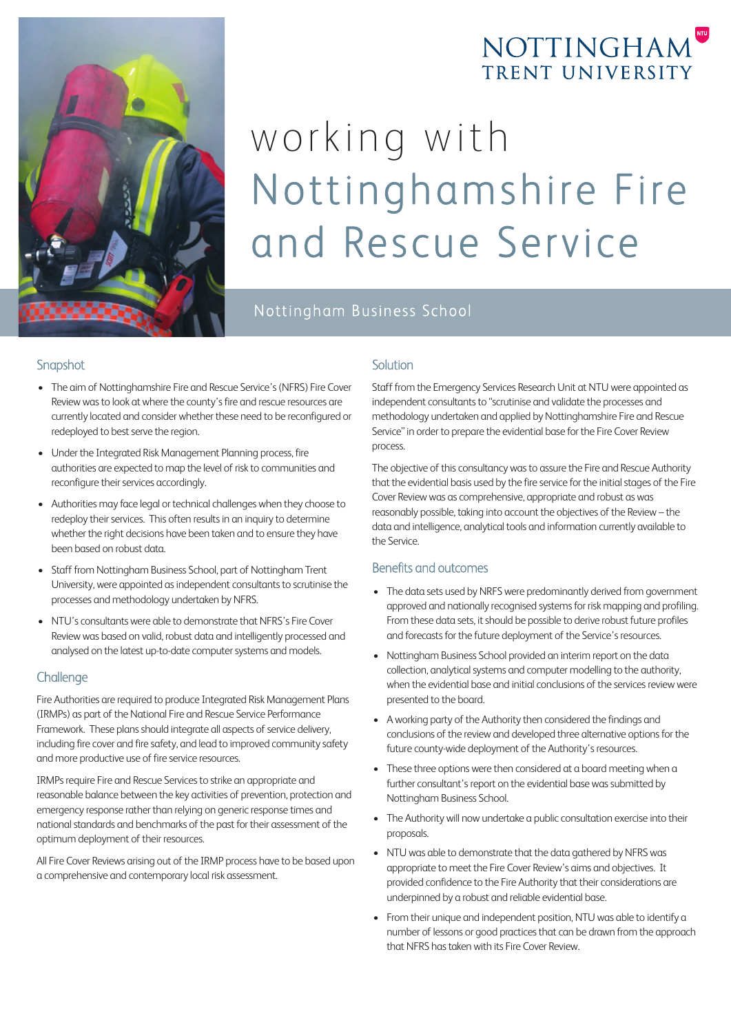

## NOTTINGHAM TRENT UNIVERSITY

# working with Nottinghamshire Fire and Rescue Service

Nottingham Business School

#### Snapshot

- The aim of Nottinghamshire Fire and Rescue Service's (NFRS) Fire Cover Review was to look at where the county's fire and rescue resources are currently located and consider whether these need to be reconfigured or redeployed to best serve the region.
- Under the Integrated Risk Management Planning process, fire authorities are expected to map the level of risk to communities and reconfigure their services accordingly.
- Authorities may face legal or technical challenges when they choose to redeploy their services. This often results in an inquiry to determine whether the right decisions have been taken and to ensure they have been based on robust data.
- Staff from Nottingham Business School, part of Nottingham Trent University, were appointed as independent consultants to scrutinise the processes and methodology undertaken by NFRS.
- NTU's consultants were able to demonstrate that NFRS's Fire Cover Review was based on valid, robust data and intelligently processed and analysed on the latest up-to-date computer systems and models.

#### **Challenge**

Fire Authorities are required to produce Integrated Risk Management Plans (IRMPs) as part of the National Fire and Rescue Service Performance Framework. These plans should integrate all aspects of service delivery, including fire cover and fire safety, and lead to improved community safety and more productive use of fire service resources.

IRMPs require Fire and Rescue Services to strike an appropriate and reasonable balance between the key activities of prevention, protection and emergency response rather than relying on generic response times and national standards and benchmarks of the past for their assessment of the optimum deployment of their resources.

All Fire Cover Reviews arising out of the IRMP process have to be based upon a comprehensive and contemporary local risk assessment.

#### **Solution**

Staff from the Emergency Services Research Unit at NTU were appointed as independent consultants to "scrutinise and validate the processes and methodology undertaken and applied by Nottinghamshire Fire and Rescue Service" in order to prepare the evidential base for the Fire Cover Review process.

The objective of this consultancy was to assure the Fire and Rescue Authority that the evidential basis used by the fire service for the initial stages of the Fire Cover Review was as comprehensive, appropriate and robust as was reasonably possible, taking into account the objectives of the Review – the data and intelligence, analytical tools and information currently available to the Service.

#### Benefits and outcomes

- The data sets used by NRFS were predominantly derived from government approved and nationally recognised systems for risk mapping and profiling. From these data sets, it should be possible to derive robust future profiles and forecasts for the future deployment of the Service's resources.
- Nottingham Business School provided an interim report on the data collection, analytical systems and computer modelling to the authority, when the evidential base and initial conclusions of the services review were presented to the board.
- A working party of the Authority then considered the findings and conclusions of the review and developed three alternative options for the future county-wide deployment of the Authority's resources.
- These three options were then considered at a board meeting when a further consultant's report on the evidential base was submitted by Nottingham Business School.
- The Authority will now undertake a public consultation exercise into their proposals.
- NTU was able to demonstrate that the data gathered by NFRS was appropriate to meet the Fire Cover Review's aims and objectives. It provided confidence to the Fire Authority that their considerations are underpinned by a robust and reliable evidential base.
- From their unique and independent position, NTU was able to identify a number of lessons or good practices that can be drawn from the approach that NFRS has taken with its Fire Cover Review.